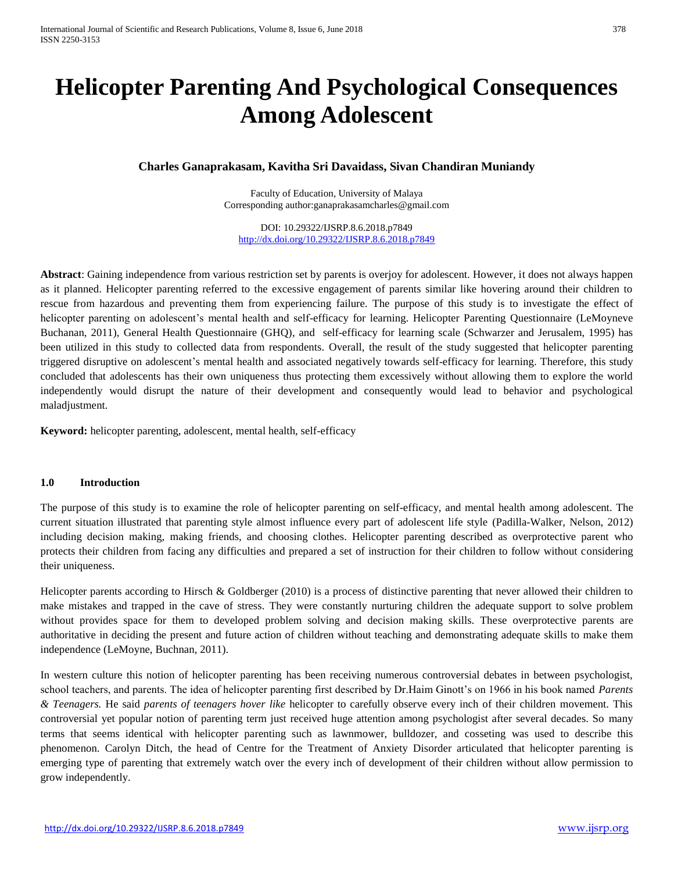# **Helicopter Parenting And Psychological Consequences Among Adolescent**

# **Charles Ganaprakasam, Kavitha Sri Davaidass, Sivan Chandiran Muniandy**

Faculty of Education, University of Malaya Corresponding author:ganaprakasamcharles@gmail.com

DOI: 10.29322/IJSRP.8.6.2018.p7849 <http://dx.doi.org/10.29322/IJSRP.8.6.2018.p7849>

**Abstract**: Gaining independence from various restriction set by parents is overjoy for adolescent. However, it does not always happen as it planned. Helicopter parenting referred to the excessive engagement of parents similar like hovering around their children to rescue from hazardous and preventing them from experiencing failure. The purpose of this study is to investigate the effect of helicopter parenting on adolescent's mental health and self-efficacy for learning. Helicopter Parenting Questionnaire (LeMoyneve Buchanan, 2011), General Health Questionnaire (GHQ), and self-efficacy for learning scale (Schwarzer and Jerusalem, 1995) has been utilized in this study to collected data from respondents. Overall, the result of the study suggested that helicopter parenting triggered disruptive on adolescent's mental health and associated negatively towards self-efficacy for learning. Therefore, this study concluded that adolescents has their own uniqueness thus protecting them excessively without allowing them to explore the world independently would disrupt the nature of their development and consequently would lead to behavior and psychological maladjustment.

**Keyword:** helicopter parenting, adolescent, mental health, self-efficacy

## **1.0 Introduction**

The purpose of this study is to examine the role of helicopter parenting on self-efficacy, and mental health among adolescent. The current situation illustrated that parenting style almost influence every part of adolescent life style (Padilla-Walker, Nelson, 2012) including decision making, making friends, and choosing clothes. Helicopter parenting described as overprotective parent who protects their children from facing any difficulties and prepared a set of instruction for their children to follow without considering their uniqueness.

Helicopter parents according to Hirsch & Goldberger (2010) is a process of distinctive parenting that never allowed their children to make mistakes and trapped in the cave of stress. They were constantly nurturing children the adequate support to solve problem without provides space for them to developed problem solving and decision making skills. These overprotective parents are authoritative in deciding the present and future action of children without teaching and demonstrating adequate skills to make them independence (LeMoyne, Buchnan, 2011).

In western culture this notion of helicopter parenting has been receiving numerous controversial debates in between psychologist, school teachers, and parents. The idea of helicopter parenting first described by Dr.Haim Ginott's on 1966 in his book named *Parents & Teenagers.* He said *parents of teenagers hover like* helicopter to carefully observe every inch of their children movement. This controversial yet popular notion of parenting term just received huge attention among psychologist after several decades. So many terms that seems identical with helicopter parenting such as lawnmower, bulldozer, and cosseting was used to describe this phenomenon. Carolyn Ditch, the head of Centre for the Treatment of Anxiety Disorder articulated that helicopter parenting is emerging type of parenting that extremely watch over the every inch of development of their children without allow permission to grow independently.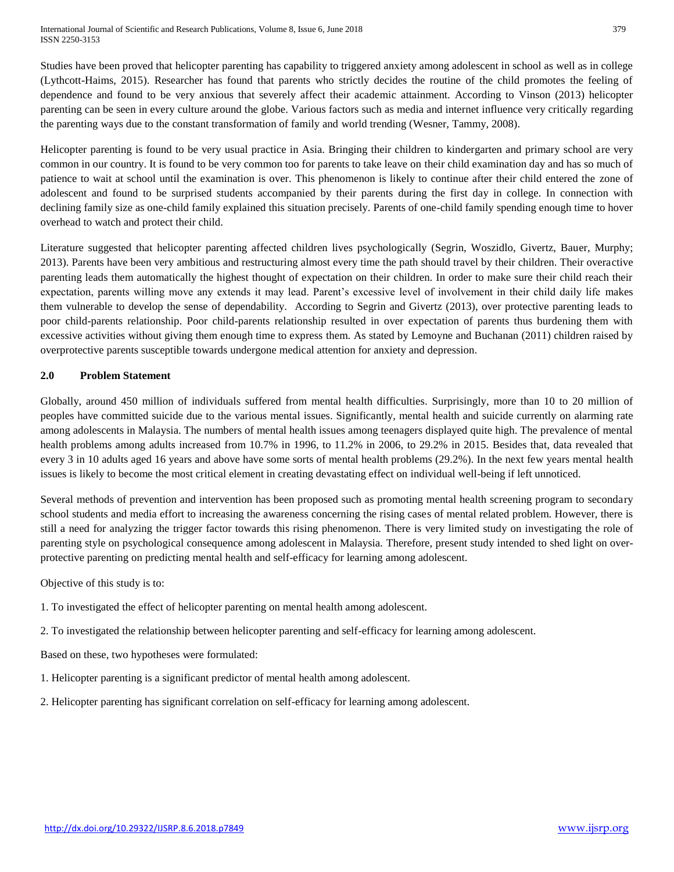Studies have been proved that helicopter parenting has capability to triggered anxiety among adolescent in school as well as in college (Lythcott-Haims, 2015). Researcher has found that parents who strictly decides the routine of the child promotes the feeling of dependence and found to be very anxious that severely affect their academic attainment. According to Vinson (2013) helicopter parenting can be seen in every culture around the globe. Various factors such as media and internet influence very critically regarding the parenting ways due to the constant transformation of family and world trending (Wesner, Tammy, 2008).

Helicopter parenting is found to be very usual practice in Asia. Bringing their children to kindergarten and primary school are very common in our country. It is found to be very common too for parents to take leave on their child examination day and has so much of patience to wait at school until the examination is over. This phenomenon is likely to continue after their child entered the zone of adolescent and found to be surprised students accompanied by their parents during the first day in college. In connection with declining family size as one-child family explained this situation precisely. Parents of one-child family spending enough time to hover overhead to watch and protect their child.

Literature suggested that helicopter parenting affected children lives psychologically (Segrin, Woszidlo, Givertz, Bauer, Murphy; 2013). Parents have been very ambitious and restructuring almost every time the path should travel by their children. Their overactive parenting leads them automatically the highest thought of expectation on their children. In order to make sure their child reach their expectation, parents willing move any extends it may lead. Parent's excessive level of involvement in their child daily life makes them vulnerable to develop the sense of dependability. According to Segrin and Givertz (2013), over protective parenting leads to poor child-parents relationship. Poor child-parents relationship resulted in over expectation of parents thus burdening them with excessive activities without giving them enough time to express them. As stated by Lemoyne and Buchanan (2011) children raised by overprotective parents susceptible towards undergone medical attention for anxiety and depression.

## **2.0 Problem Statement**

Globally, around 450 million of individuals suffered from mental health difficulties. Surprisingly, more than 10 to 20 million of peoples have committed suicide due to the various mental issues. Significantly, mental health and suicide currently on alarming rate among adolescents in Malaysia. The numbers of mental health issues among teenagers displayed quite high. The prevalence of mental health problems among adults increased from 10.7% in 1996, to 11.2% in 2006, to 29.2% in 2015. Besides that, data revealed that every 3 in 10 adults aged 16 years and above have some sorts of mental health problems (29.2%). In the next few years mental health issues is likely to become the most critical element in creating devastating effect on individual well-being if left unnoticed.

Several methods of prevention and intervention has been proposed such as promoting mental health screening program to secondary school students and media effort to increasing the awareness concerning the rising cases of mental related problem. However, there is still a need for analyzing the trigger factor towards this rising phenomenon. There is very limited study on investigating the role of parenting style on psychological consequence among adolescent in Malaysia. Therefore, present study intended to shed light on overprotective parenting on predicting mental health and self-efficacy for learning among adolescent.

Objective of this study is to:

- 1. To investigated the effect of helicopter parenting on mental health among adolescent.
- 2. To investigated the relationship between helicopter parenting and self-efficacy for learning among adolescent.

Based on these, two hypotheses were formulated:

- 1. Helicopter parenting is a significant predictor of mental health among adolescent.
- 2. Helicopter parenting has significant correlation on self-efficacy for learning among adolescent.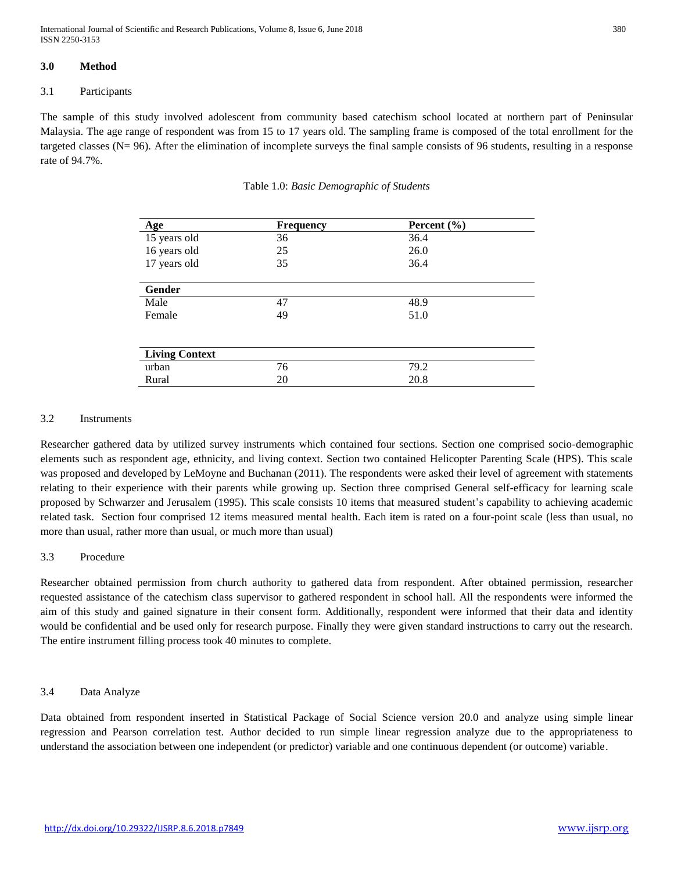International Journal of Scientific and Research Publications, Volume 8, Issue 6, June 2018 380 ISSN 2250-3153

## **3.0 Method**

#### 3.1 Participants

The sample of this study involved adolescent from community based catechism school located at northern part of Peninsular Malaysia. The age range of respondent was from 15 to 17 years old. The sampling frame is composed of the total enrollment for the targeted classes  $(N= 96)$ . After the elimination of incomplete surveys the final sample consists of 96 students, resulting in a response rate of 94.7%.

| Age                   | <b>Frequency</b> | Percent $(\% )$ |  |
|-----------------------|------------------|-----------------|--|
| 15 years old          | 36               | 36.4            |  |
| 16 years old          | 25               | 26.0            |  |
| 17 years old          | 35               | 36.4            |  |
|                       |                  |                 |  |
| Gender                |                  |                 |  |
| Male                  | 47               | 48.9            |  |
| Female                | 49               | 51.0            |  |
|                       |                  |                 |  |
|                       |                  |                 |  |
| <b>Living Context</b> |                  |                 |  |
| urban                 | 76               | 79.2            |  |
| Rural                 | 20               | 20.8            |  |

Table 1.0: *Basic Demographic of Students*

#### 3.2 Instruments

Researcher gathered data by utilized survey instruments which contained four sections. Section one comprised socio-demographic elements such as respondent age, ethnicity, and living context. Section two contained Helicopter Parenting Scale (HPS). This scale was proposed and developed by LeMoyne and Buchanan (2011). The respondents were asked their level of agreement with statements relating to their experience with their parents while growing up. Section three comprised General self-efficacy for learning scale proposed by Schwarzer and Jerusalem (1995). This scale consists 10 items that measured student's capability to achieving academic related task. Section four comprised 12 items measured mental health. Each item is rated on a four-point scale (less than usual, no more than usual, rather more than usual, or much more than usual)

#### 3.3 Procedure

Researcher obtained permission from church authority to gathered data from respondent. After obtained permission, researcher requested assistance of the catechism class supervisor to gathered respondent in school hall. All the respondents were informed the aim of this study and gained signature in their consent form. Additionally, respondent were informed that their data and identity would be confidential and be used only for research purpose. Finally they were given standard instructions to carry out the research. The entire instrument filling process took 40 minutes to complete.

#### 3.4 Data Analyze

Data obtained from respondent inserted in Statistical Package of Social Science version 20.0 and analyze using simple linear regression and Pearson correlation test. Author decided to run simple linear regression analyze due to the appropriateness to understand the association between one independent (or predictor) variable and one continuous dependent (or outcome) variable.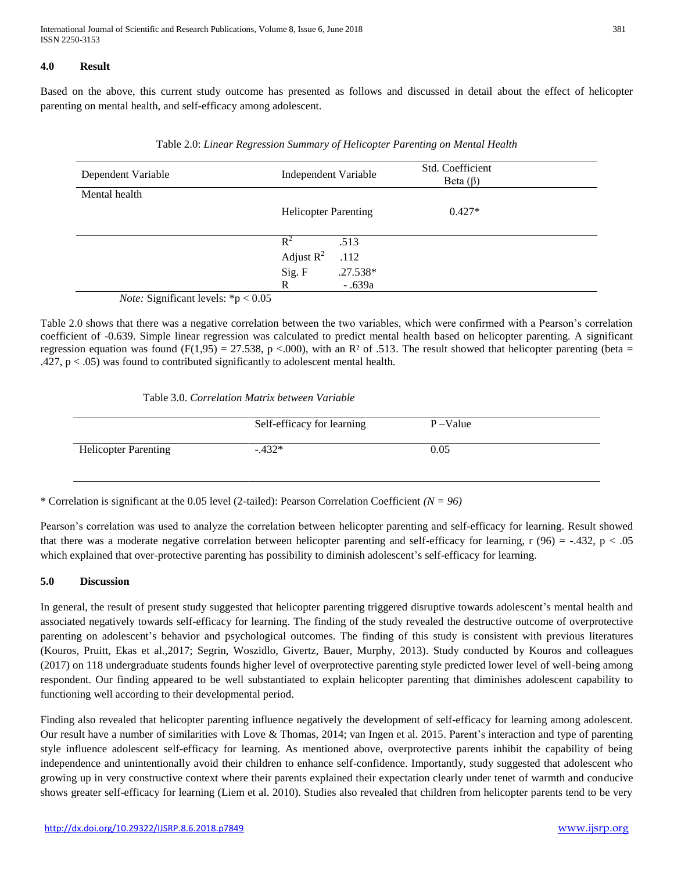## **4.0 Result**

Based on the above, this current study outcome has presented as follows and discussed in detail about the effect of helicopter parenting on mental health, and self-efficacy among adolescent.

| Dependent Variable                            | Independent Variable        |            | Std. Coefficient<br>Beta $(\beta)$ |  |
|-----------------------------------------------|-----------------------------|------------|------------------------------------|--|
| Mental health                                 |                             |            |                                    |  |
|                                               | <b>Helicopter Parenting</b> |            | $0.427*$                           |  |
|                                               | $R^2$                       | .513       |                                    |  |
|                                               | Adjust $R^2$                | .112       |                                    |  |
|                                               | Sig. F                      | $.27.538*$ |                                    |  |
|                                               | R                           | $-.639a$   |                                    |  |
| <i>Note</i> : Significant levels: $*n < 0.05$ |                             |            |                                    |  |

| Table 2.0: Linear Regression Summary of Helicopter Parenting on Mental Health |  |  |
|-------------------------------------------------------------------------------|--|--|
|                                                                               |  |  |

*Note:* Significant levels: \*p < 0.05

Table 2.0 shows that there was a negative correlation between the two variables, which were confirmed with a Pearson's correlation coefficient of -0.639. Simple linear regression was calculated to predict mental health based on helicopter parenting. A significant regression equation was found (F(1,95) = 27.538, p <.000), with an R<sup>2</sup> of .513. The result showed that helicopter parenting (beta = .427,  $p < .05$ ) was found to contributed significantly to adolescent mental health.

Table 3.0. *Correlation Matrix between Variable*

|                             | Self-efficacy for learning | $P - Value$ |  |
|-----------------------------|----------------------------|-------------|--|
| <b>Helicopter Parenting</b> | $-432*$                    | 0.05        |  |

\* Correlation is significant at the 0.05 level (2-tailed): Pearson Correlation Coefficient *(N = 96)*

Pearson's correlation was used to analyze the correlation between helicopter parenting and self-efficacy for learning. Result showed that there was a moderate negative correlation between helicopter parenting and self-efficacy for learning,  $r (96) = -.432$ ,  $p < .05$ which explained that over-protective parenting has possibility to diminish adolescent's self-efficacy for learning.

## **5.0 Discussion**

In general, the result of present study suggested that helicopter parenting triggered disruptive towards adolescent's mental health and associated negatively towards self-efficacy for learning. The finding of the study revealed the destructive outcome of overprotective parenting on adolescent's behavior and psychological outcomes. The finding of this study is consistent with previous literatures (Kouros, Pruitt, Ekas et al.,2017; Segrin, Woszidlo, Givertz, Bauer, Murphy, 2013). Study conducted by Kouros and colleagues (2017) on 118 undergraduate students founds higher level of overprotective parenting style predicted lower level of well-being among respondent. Our finding appeared to be well substantiated to explain helicopter parenting that diminishes adolescent capability to functioning well according to their developmental period.

Finding also revealed that helicopter parenting influence negatively the development of self-efficacy for learning among adolescent. Our result have a number of similarities with Love & Thomas, 2014; van Ingen et al. 2015. Parent's interaction and type of parenting style influence adolescent self-efficacy for learning. As mentioned above, overprotective parents inhibit the capability of being independence and unintentionally avoid their children to enhance self-confidence. Importantly, study suggested that adolescent who growing up in very constructive context where their parents explained their expectation clearly under tenet of warmth and conducive shows greater self-efficacy for learning (Liem et al. 2010). Studies also revealed that children from helicopter parents tend to be very